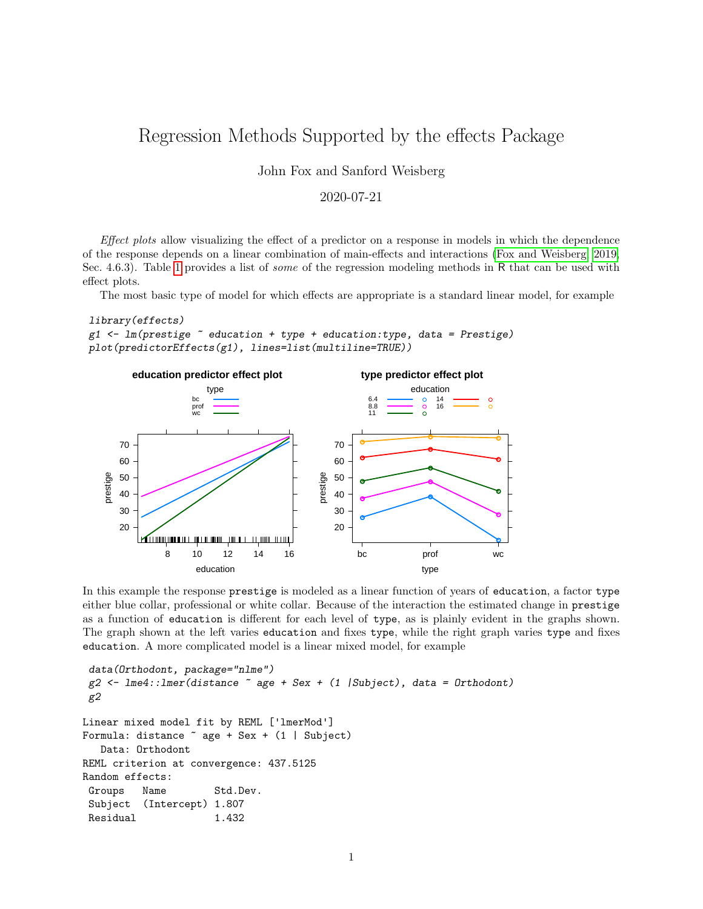# Regression Methods Supported by the effects Package

John Fox and Sanford Weisberg

### 2020-07-21

Effect plots allow visualizing the effect of a predictor on a response in models in which the dependence of the response depends on a linear combination of main-effects and interactions [\(Fox and Weisberg, 2019,](#page-4-0) Sec. 4.6.3). Table [1](#page-1-0) provides a list of *some* of the regression modeling methods in R that can be used with effect plots.

The most basic type of model for which effects are appropriate is a standard linear model, for example

```
library(effects)
```

```
g1 \leftarrow \text{lm(prestige} \sim education + type + education: type, data = Prestige)
plot(predictorEffects(g1), lines=list(multiline=TRUE))
```


In this example the response prestige is modeled as a linear function of years of education, a factor type either blue collar, professional or white collar. Because of the interaction the estimated change in prestige as a function of education is different for each level of type, as is plainly evident in the graphs shown. The graph shown at the left varies education and fixes type, while the right graph varies type and fixes education. A more complicated model is a linear mixed model, for example

```
data(Orthodont, package="nlme")
g2 \leftarrow lme4:: lmer(distance \tilde{ } age + Sex + (1 | Subject), data = 0rthodont)
g2
Linear mixed model fit by REML ['lmerMod']
Formula: distance ~ age + Sex + (1 | Subject)
   Data: Orthodont
REML criterion at convergence: 437.5125
Random effects:
Groups Name Std.Dev.
Subject (Intercept) 1.807
Residual 1.432
```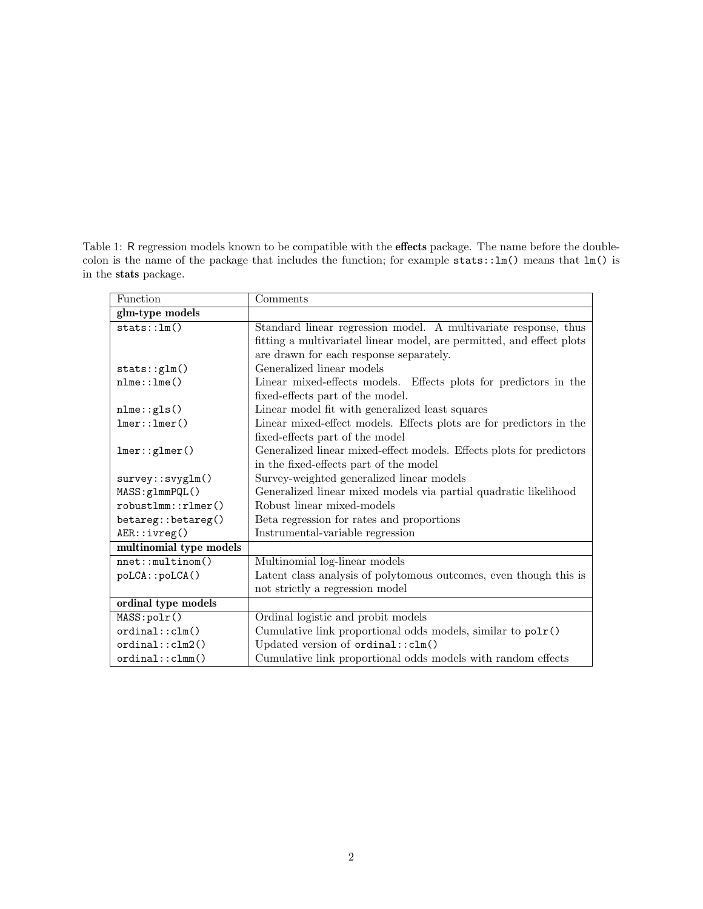<span id="page-1-0"></span>Table 1: R regression models known to be compatible with the effects package. The name before the doublecolon is the name of the package that includes the function; for example stats::lm() means that lm() is in the stats package.

| Function                | Comments                                                              |
|-------------------------|-----------------------------------------------------------------------|
| glm-type models         |                                                                       |
| stats::lm()             | Standard linear regression model. A multivariate response, thus       |
|                         | fitting a multivariatel linear model, are permitted, and effect plots |
|                         | are drawn for each response separately.                               |
| stats:glm()             | Generalized linear models                                             |
| $nlm$ e $::lm$ e $()$   | Linear mixed-effects models. Effects plots for predictors in the      |
|                         | fixed-effects part of the model.                                      |
| $nlm$ e:: $gls()$       | Linear model fit with generalized least squares                       |
| lmer::lmer()            | Linear mixed-effect models. Effects plots are for predictors in the   |
|                         | fixed-effects part of the model                                       |
| lmer::glmer()           | Generalized linear mixed-effect models. Effects plots for predictors  |
|                         | in the fixed-effects part of the model                                |
| survey::svyglm()        | Survey-weighted generalized linear models                             |
| MASS: glmmPQL()         | Generalized linear mixed models via partial quadratic likelihood      |
| robustlmm::rlmer()      | Robust linear mixed-models                                            |
| betareg::betareg()      | Beta regression for rates and proportions                             |
| AER::ivreg()            | Instrumental-variable regression                                      |
| multinomial type models |                                                                       |
| nnet::multinom()        | Multinomial log-linear models                                         |
| poLCA::poLCA()          | Latent class analysis of polytomous outcomes, even though this is     |
|                         | not strictly a regression model                                       |
| ordinal type models     |                                                                       |
| MASS:polr()             | Ordinal logistic and probit models                                    |
| ordinal::clm()          | Cumulative link proportional odds models, similar to $polr()$         |
| ordinal::clm2()         | Updated version of ordinal:: clm()                                    |
| ordinal::clmm()         | Cumulative link proportional odds models with random effects          |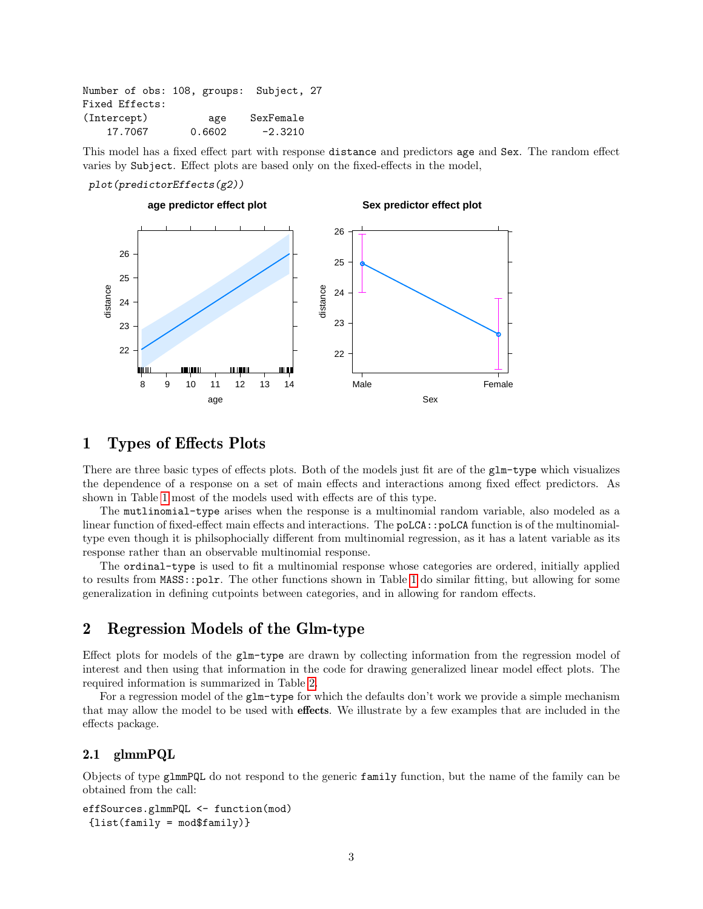| Number of obs: 108, groups: Subject, 27 |        |           |  |
|-----------------------------------------|--------|-----------|--|
| Fixed Effects:                          |        |           |  |
| (Intercept)                             | age    | SexFemale |  |
| 17.7067                                 | 0.6602 | $-2.3210$ |  |

This model has a fixed effect part with response distance and predictors age and Sex. The random effect varies by Subject. Effect plots are based only on the fixed-effects in the model,

#### plot(predictorEffects(g2))



## 1 Types of Effects Plots

There are three basic types of effects plots. Both of the models just fit are of the glm-type which visualizes the dependence of a response on a set of main effects and interactions among fixed effect predictors. As shown in Table [1](#page-1-0) most of the models used with effects are of this type.

The mutlinomial-type arises when the response is a multinomial random variable, also modeled as a linear function of fixed-effect main effects and interactions. The poLCA::poLCA function is of the multinomialtype even though it is philsophocially different from multinomial regression, as it has a latent variable as its response rather than an observable multinomial response.

The ordinal-type is used to fit a multinomial response whose categories are ordered, initially applied to results from MASS::polr. The other functions shown in Table [1](#page-1-0) do similar fitting, but allowing for some generalization in defining cutpoints between categories, and in allowing for random effects.

## 2 Regression Models of the Glm-type

Effect plots for models of the glm-type are drawn by collecting information from the regression model of interest and then using that information in the code for drawing generalized linear model effect plots. The required information is summarized in Table [2.](#page-3-0)

For a regression model of the glm-type for which the defaults don't work we provide a simple mechanism that may allow the model to be used with effects. We illustrate by a few examples that are included in the effects package.

#### 2.1 glmmPQL

Objects of type glmmPQL do not respond to the generic family function, but the name of the family can be obtained from the call:

```
effSources.glmmPQL <- function(mod)
 {list(family = mod$family)}
```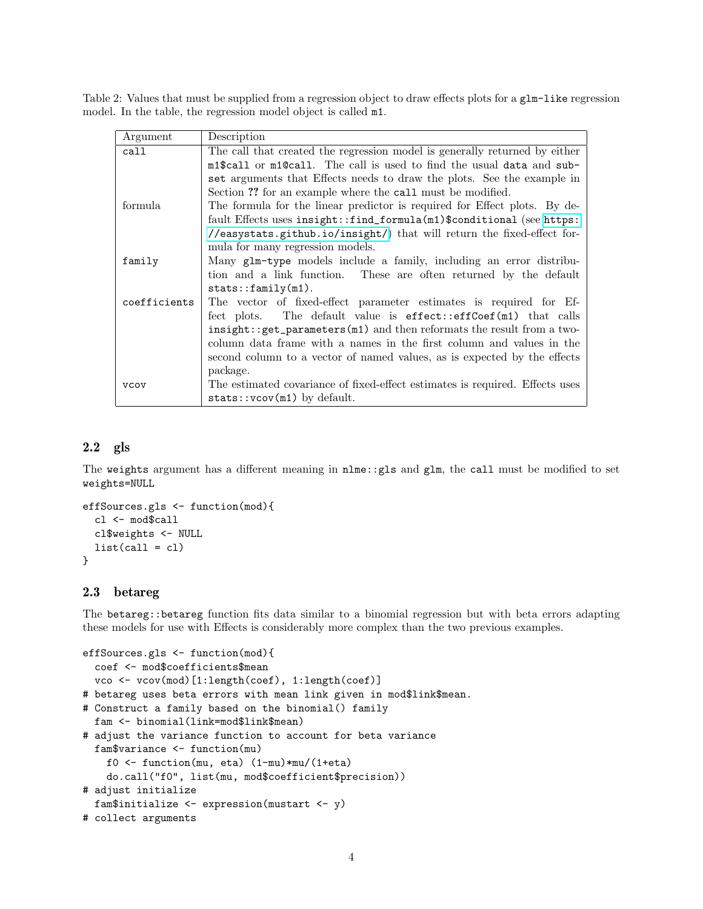Table 2: Values that must be supplied from a regression object to draw effects plots for a glm-like regression model. In the table, the regression model object is called m1.

<span id="page-3-0"></span>

| Argument     | Description                                                                  |
|--------------|------------------------------------------------------------------------------|
| call         | The call that created the regression model is generally returned by either   |
|              | m1\$call or m1@call. The call is used to find the usual data and sub-        |
|              | set arguments that Effects needs to draw the plots. See the example in       |
|              | Section ?? for an example where the call must be modified.                   |
| formula      | The formula for the linear predictor is required for Effect plots. By de-    |
|              | fault Effects uses insight::find_formula(m1)\$conditional (see https:        |
|              | //easystats.github.io/insight/) that will return the fixed-effect for-       |
|              | mula for many regression models.                                             |
| family       | Many glm-type models include a family, including an error distribu-          |
|              | tion and a link function. These are often returned by the default            |
|              | stats::family(m1).                                                           |
| coefficients | The vector of fixed-effect parameter estimates is required for Ef-           |
|              | fect plots. The default value is effect::effCoef(m1) that calls              |
|              | $insight::get_parameters(m1)$ and then reformats the result from a two-      |
|              | column data frame with a names in the first column and values in the         |
|              | second column to a vector of named values, as is expected by the effects     |
|              | package.                                                                     |
| <b>VCOV</b>  | The estimated covariance of fixed-effect estimates is required. Effects uses |
|              | $stats::vcov(m1)$ by default.                                                |

## 2.2 gls

The weights argument has a different meaning in nlme::gls and glm, the call must be modified to set weights=NULL

```
effSources.gls <- function(mod){
  cl <- mod$call
  cl$weights <- NULL
 list(call = c1)}
```
#### 2.3 betareg

The betareg::betareg function fits data similar to a binomial regression but with beta errors adapting these models for use with Effects is considerably more complex than the two previous examples.

```
effSources.gls <- function(mod){
  coef <- mod$coefficients$mean
  vco <- vcov(mod)[1:length(coef), 1:length(coef)]
# betareg uses beta errors with mean link given in mod$link$mean.
# Construct a family based on the binomial() family
  fam <- binomial(link=mod$link$mean)
# adjust the variance function to account for beta variance
  fam$variance <- function(mu)
   f0 <- function(mu, eta) (1-mu)*mu/(1+eta)
   do.call("f0", list(mu, mod$coefficient$precision))
# adjust initialize
  fam$initialize <- expression(mustart <- y)
# collect arguments
```